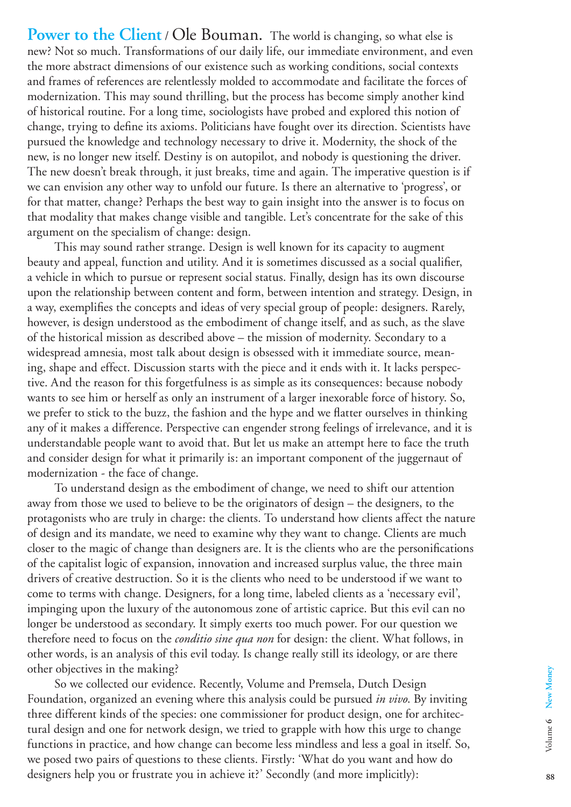**Power to the Client** / Ole Bouman. The world is changing, so what else is new? Not so much. Transformations of our daily life, our immediate environment, and even the more abstract dimensions of our existence such as working conditions, social contexts and frames of references are relentlessly molded to accommodate and facilitate the forces of modernization. This may sound thrilling, but the process has become simply another kind of historical routine. For a long time, sociologists have probed and explored this notion of change, trying to define its axioms. Politicians have fought over its direction. Scientists have pursued the knowledge and technology necessary to drive it. Modernity, the shock of the new, is no longer new itself. Destiny is on autopilot, and nobody is questioning the driver. The new doesn't break through, it just breaks, time and again. The imperative question is if we can envision any other way to unfold our future. Is there an alternative to 'progress', or for that matter, change? Perhaps the best way to gain insight into the answer is to focus on that modality that makes change visible and tangible. Let's concentrate for the sake of this argument on the specialism of change: design.

This may sound rather strange. Design is well known for its capacity to augment beauty and appeal, function and utility. And it is sometimes discussed as a social qualifier, a vehicle in which to pursue or represent social status. Finally, design has its own discourse upon the relationship between content and form, between intention and strategy. Design, in a way, exemplifies the concepts and ideas of very special group of people: designers. Rarely, however, is design understood as the embodiment of change itself, and as such, as the slave of the historical mission as described above – the mission of modernity. Secondary to a widespread amnesia, most talk about design is obsessed with it immediate source, meaning, shape and effect. Discussion starts with the piece and it ends with it. It lacks perspective. And the reason for this forgetfulness is as simple as its consequences: because nobody wants to see him or herself as only an instrument of a larger inexorable force of history. So, we prefer to stick to the buzz, the fashion and the hype and we flatter ourselves in thinking any of it makes a difference. Perspective can engender strong feelings of irrelevance, and it is understandable people want to avoid that. But let us make an attempt here to face the truth and consider design for what it primarily is: an important component of the juggernaut of modernization - the face of change.

To understand design as the embodiment of change, we need to shift our attention away from those we used to believe to be the originators of design – the designers, to the protagonists who are truly in charge: the clients. To understand how clients affect the nature of design and its mandate, we need to examine why they want to change. Clients are much closer to the magic of change than designers are. It is the clients who are the personifications of the capitalist logic of expansion, innovation and increased surplus value, the three main drivers of creative destruction. So it is the clients who need to be understood if we want to come to terms with change. Designers, for a long time, labeled clients as a 'necessary evil', impinging upon the luxury of the autonomous zone of artistic caprice. But this evil can no longer be understood as secondary. It simply exerts too much power. For our question we therefore need to focus on the *conditio sine qua non* for design: the client. What follows, in other words, is an analysis of this evil today. Is change really still its ideology, or are there other objectives in the making?

So we collected our evidence. Recently, Volume and Premsela, Dutch Design Foundation, organized an evening where this analysis could be pursued *in vivo*. By inviting three different kinds of the species: one commissioner for product design, one for architectural design and one for network design, we tried to grapple with how this urge to change functions in practice, and how change can become less mindless and less a goal in itself. So, we posed two pairs of questions to these clients. Firstly: 'What do you want and how do designers help you or frustrate you in achieve it?' Secondly (and more implicitly):